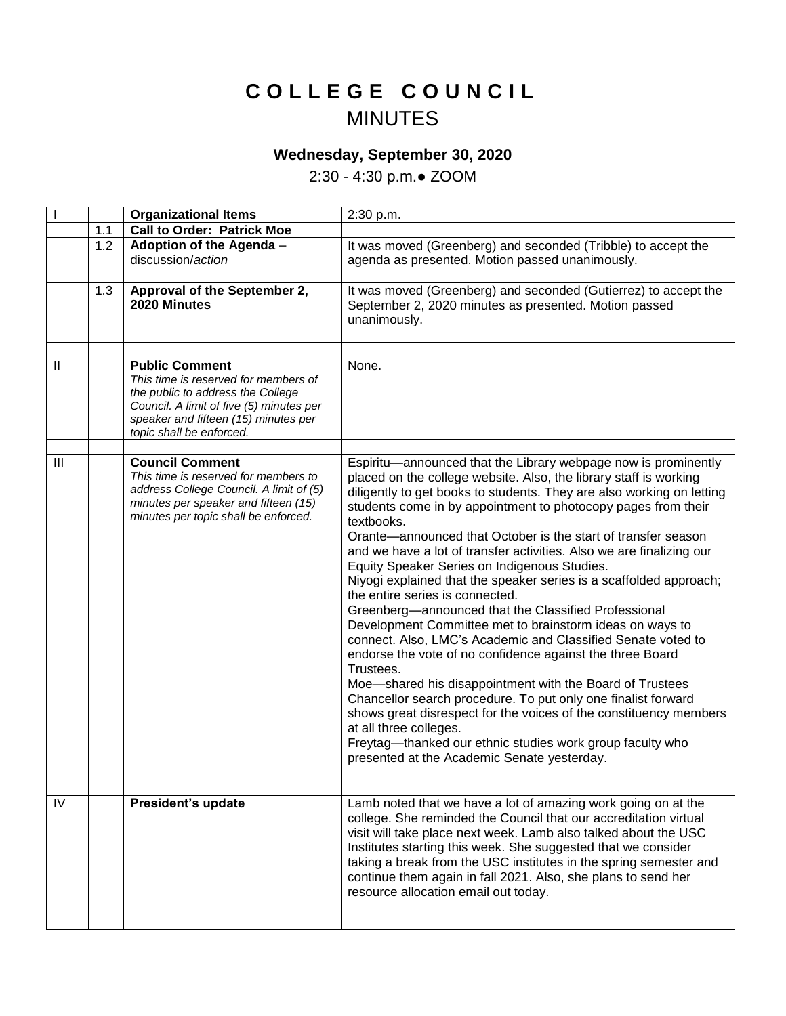## **C O L L E G E C O U N C I L** MINUTES

## **Wednesday, September 30, 2020**

2:30 - 4:30 p.m.● ZOOM

|              |     | <b>Organizational Items</b>                                                                                                                                                                                        | 2:30 p.m.                                                                                                                                                                                                                                                                                                                                                                                                                                                                                                                                                                                                                                                                                                                                                                                                                                                                                                                                                                                                                                                                                                                         |
|--------------|-----|--------------------------------------------------------------------------------------------------------------------------------------------------------------------------------------------------------------------|-----------------------------------------------------------------------------------------------------------------------------------------------------------------------------------------------------------------------------------------------------------------------------------------------------------------------------------------------------------------------------------------------------------------------------------------------------------------------------------------------------------------------------------------------------------------------------------------------------------------------------------------------------------------------------------------------------------------------------------------------------------------------------------------------------------------------------------------------------------------------------------------------------------------------------------------------------------------------------------------------------------------------------------------------------------------------------------------------------------------------------------|
|              | 1.1 | <b>Call to Order: Patrick Moe</b>                                                                                                                                                                                  |                                                                                                                                                                                                                                                                                                                                                                                                                                                                                                                                                                                                                                                                                                                                                                                                                                                                                                                                                                                                                                                                                                                                   |
|              | 1.2 | Adoption of the Agenda -<br>discussion/action                                                                                                                                                                      | It was moved (Greenberg) and seconded (Tribble) to accept the<br>agenda as presented. Motion passed unanimously.                                                                                                                                                                                                                                                                                                                                                                                                                                                                                                                                                                                                                                                                                                                                                                                                                                                                                                                                                                                                                  |
|              | 1.3 | Approval of the September 2,<br>2020 Minutes                                                                                                                                                                       | It was moved (Greenberg) and seconded (Gutierrez) to accept the<br>September 2, 2020 minutes as presented. Motion passed<br>unanimously.                                                                                                                                                                                                                                                                                                                                                                                                                                                                                                                                                                                                                                                                                                                                                                                                                                                                                                                                                                                          |
|              |     |                                                                                                                                                                                                                    |                                                                                                                                                                                                                                                                                                                                                                                                                                                                                                                                                                                                                                                                                                                                                                                                                                                                                                                                                                                                                                                                                                                                   |
| $\mathbf{H}$ |     | <b>Public Comment</b><br>This time is reserved for members of<br>the public to address the College<br>Council. A limit of five (5) minutes per<br>speaker and fifteen (15) minutes per<br>topic shall be enforced. | None.                                                                                                                                                                                                                                                                                                                                                                                                                                                                                                                                                                                                                                                                                                                                                                                                                                                                                                                                                                                                                                                                                                                             |
| III          |     | <b>Council Comment</b>                                                                                                                                                                                             | Espiritu-announced that the Library webpage now is prominently                                                                                                                                                                                                                                                                                                                                                                                                                                                                                                                                                                                                                                                                                                                                                                                                                                                                                                                                                                                                                                                                    |
|              |     | This time is reserved for members to<br>address College Council. A limit of (5)<br>minutes per speaker and fifteen (15)<br>minutes per topic shall be enforced.                                                    | placed on the college website. Also, the library staff is working<br>diligently to get books to students. They are also working on letting<br>students come in by appointment to photocopy pages from their<br>textbooks.<br>Orante—announced that October is the start of transfer season<br>and we have a lot of transfer activities. Also we are finalizing our<br>Equity Speaker Series on Indigenous Studies.<br>Niyogi explained that the speaker series is a scaffolded approach;<br>the entire series is connected.<br>Greenberg-announced that the Classified Professional<br>Development Committee met to brainstorm ideas on ways to<br>connect. Also, LMC's Academic and Classified Senate voted to<br>endorse the vote of no confidence against the three Board<br>Trustees.<br>Moe-shared his disappointment with the Board of Trustees<br>Chancellor search procedure. To put only one finalist forward<br>shows great disrespect for the voices of the constituency members<br>at all three colleges.<br>Freytag-thanked our ethnic studies work group faculty who<br>presented at the Academic Senate yesterday. |
|              |     |                                                                                                                                                                                                                    |                                                                                                                                                                                                                                                                                                                                                                                                                                                                                                                                                                                                                                                                                                                                                                                                                                                                                                                                                                                                                                                                                                                                   |
| IV           |     | President's update                                                                                                                                                                                                 | Lamb noted that we have a lot of amazing work going on at the<br>college. She reminded the Council that our accreditation virtual<br>visit will take place next week. Lamb also talked about the USC<br>Institutes starting this week. She suggested that we consider<br>taking a break from the USC institutes in the spring semester and<br>continue them again in fall 2021. Also, she plans to send her<br>resource allocation email out today.                                                                                                                                                                                                                                                                                                                                                                                                                                                                                                                                                                                                                                                                               |